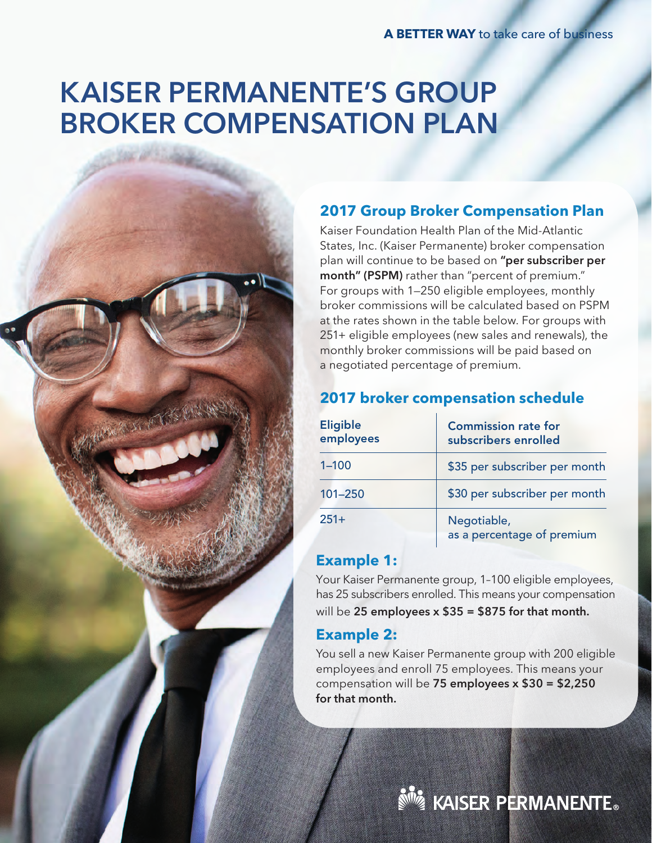# KAISER PERMANENTE'S GROUP BROKER COMPENSATION PLAN

### **2017 Group Broker Compensation Plan**

Kaiser Foundation Health Plan of the Mid-Atlantic States, Inc. (Kaiser Permanente) broker compensation plan will continue to be based on "per subscriber per month" (PSPM) rather than "percent of premium." For groups with 1—250 eligible employees, monthly broker commissions will be calculated based on PSPM at the rates shown in the table below. For groups with 251+ eligible employees (new sales and renewals), the monthly broker commissions will be paid based on a negotiated percentage of premium.

#### **2017 broker compensation schedule**

| <b>Eligible</b><br>employees | <b>Commission rate for</b><br>subscribers enrolled |
|------------------------------|----------------------------------------------------|
| $1 - 100$                    | \$35 per subscriber per month                      |
| $101 - 250$                  | \$30 per subscriber per month                      |
| $251+$                       | Negotiable,<br>as a percentage of premium          |

#### **Example 1:**

Your Kaiser Permanente group, 1–100 eligible employees, has 25 subscribers enrolled. This means your compensation will be 25 employees  $x $35 = $875$  for that month.

#### **Example 2:**

You sell a new Kaiser Permanente group with 200 eligible employees and enroll 75 employees. This means your compensation will be 75 employees x \$30 = \$2,250 for that month.